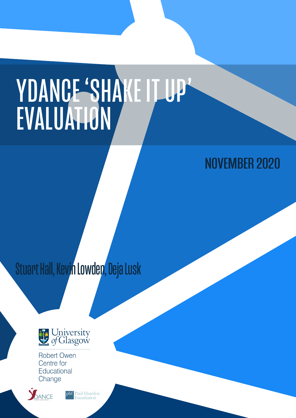# YDANCE 'SHAKE IT UP' EVALUATION

## NOVEMBER 2020

Stuart Hall, Kevin Lowden, Deja Lusk



**Robert Owen** Centre for Educational Change



 $phf$ Paul Hamlyn **oundation**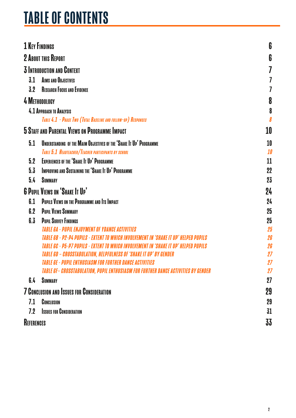## TABLE OF CONTENTS

|                   | <b>1 KEY FINDINGS</b>                                                                                                                        | 6        |
|-------------------|----------------------------------------------------------------------------------------------------------------------------------------------|----------|
|                   | <b>2 ABOUT THIS REPORT</b>                                                                                                                   | 6        |
|                   | <b>3 INTRODUCTION AND CONTEXT</b>                                                                                                            |          |
|                   |                                                                                                                                              |          |
| 3.1               | <b>AIMS AND OBJECTIVES</b>                                                                                                                   |          |
| 3.2               | <b>RESEARCH FOCUS AND EVIDENCE</b>                                                                                                           |          |
|                   | 4 METHODOLOGY                                                                                                                                | 8        |
|                   | 4.1 APPROACH TO ANALYSIS                                                                                                                     | 8        |
|                   | TABLE 4.1 - PHASE TWO (TOTAL BASELINE AND FOLLOW-UP) RESPONSES                                                                               |          |
|                   | <b>5 STAFF AND PARENTAL VIEWS ON PROGRAMME IMPACT</b>                                                                                        | 10       |
| 5.1               | UNDERSTANDING OF THE MAIM OBJECTIVES OF THE 'SHAKE IT UP' PROGRAMME                                                                          | 10       |
|                   | TABLE 5.1 HEADTEACHER/TEACHER PARTICIPANTS BY SCHOOL                                                                                         | 10       |
| 5.2               | <b>EXPERIENCES OF THE 'SHAKE IT UP' PROGRAMME</b>                                                                                            | 11       |
| 5.3               | <b>IMPROVING AND SUSTAINING THE 'SHAKE IT UP' PROGRAMME</b>                                                                                  | 22       |
| 5.4               | <b>SUMMARY</b>                                                                                                                               | 23       |
|                   | <b>6 PUPIL VIEWS ON 'SHAKE IT UP'</b>                                                                                                        | 24       |
| 6.1               | PUPILS VIEWS ON THE PROGRAMME AND ITS IMPACT                                                                                                 | 24       |
| 6.2               | <b>PUPIL VIEWS SUMMARY</b>                                                                                                                   | 25       |
| 6.3               | <b>PUPIL SURVEY FINDINGS</b>                                                                                                                 | 25       |
|                   | <b>TARIF GA - PUPIL ENJOYMENT OF YDANCE ACTIVITIES</b>                                                                                       | 25       |
|                   | TABIF GB - P2-P4 PUPILS - FXTENT TO WHICH INVOLVEMENT IN 'SHAKE IT UP' HELPED PUPILS                                                         | 26       |
|                   | TARIF GC - D5-D7 DIIDILS - EXTENT TO WHICH INVOIVEMENT IN 'SHAKE IT IID' HELPED DIIDILS                                                      |          |
|                   | <b>TABLE GD - CROSSTABULATION, HELPFULNESS OF 'SHAKE IT UP' BY GENDER</b><br><b>TABLE GE - PUPIL ENTHUSIASM FOR FURTHER DANCE ACTIVITIES</b> |          |
|                   | <b>TABLE GF- CROSSTABULATION, PUPIL ENTHUSIASM FOR FURTHER DANCE ACTIVITIES BY GENDER</b>                                                    | 27<br>27 |
| 6.4               | <b>SUMMARY</b>                                                                                                                               | 27       |
|                   |                                                                                                                                              |          |
|                   | <b>7 CONCLUSION AND ISSUES FOR CONSIDERATION</b>                                                                                             | 29       |
| 7.1               | CONCLUSION                                                                                                                                   | 29       |
| 7.2               | <b>ISSUES FOR CONSIDERATION</b>                                                                                                              | 31       |
| <b>REFERENCES</b> |                                                                                                                                              | 33       |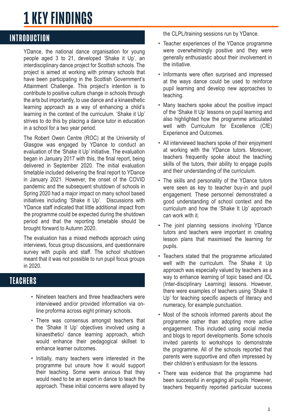## <span id="page-2-0"></span>1 KEY FINDINGS

## **INTRODUCTION**

YDance, the national dance organisation for young people aged 3 to 21, developed 'Shake it Up', an interdisciplinary dance project for Scottish schools. The project is aimed at working with primary schools that have been participating in the Scottish Government's Attainment Challenge. This project's intention is to contribute to positive culture change in schools through the arts but importantly, to use dance and a kinaesthetic learning approach as a way of enhancing a child's learning in the context of the curriculum. 'Shake it Up' strives to do this by placing a dance tutor in education in a school for a two year period.

The Robert Owen Centre (ROC) at the University of Glasgow was engaged by YDance to conduct an evaluation of the 'Shake it Up' initiative. The evaluation began in January 2017 with this, the final report, being delivered in September 2020. The initial evaluation timetable included delivering the final report to YDance in January 2021. However, the onset of the COVID pandemic and the subsequent shutdown of schools in Spring 2020 had a major impact on many school based initiatives including 'Shake it Up'. Discussions with YDance staff indicated that little additional impact from the programme could be expected during the shutdown period and that the reporting timetable should be brought forward to Autumn 2020.

The evaluation has a mixed methods approach using interviews, focus group discussions, and questionnaire survey with pupils and staff. The school shutdown meant that it was not possible to run pupil focus groups in 2020.

## **TFACHERS**

- Nineteen teachers and three headteachers were interviewed and/or provided information via online proforma across eight primary schools.
- There was consensus amongst teachers that the 'Shake It Up' objectives involved using a kinaesthetic/ dance learning approach, which would enhance their pedagogical skillset to enhance learner outcomes.
- Initially, many teachers were interested in the programme but unsure how it would support their teaching. Some were anxious that they would need to be an expert in dance to teach the approach. These initial concerns were allayed by

the CLPL/training sessions run by YDance.

- Teacher experiences of the YDance programme were overwhelmingly positive and they were generally enthusiastic about their involvement in the initiative.
- Informants were often surprised and impressed at the ways dance could be used to reinforce pupil learning and develop new approaches to teaching.
- Many teachers spoke about the positive impact of the 'Shake It Up' lessons on pupil learning and also highlighted how the programme articulated well with Curriculum for Excellence (CfE) Experience and Outcomes.
- All interviewed teachers spoke of their enjoyment at working with the YDance tutors. Moreover, teachers frequently spoke about the teaching skills of the tutors, their ability to engage pupils and their understanding of the curriculum.
- The skills and personality of the YDance tutors were seen as key to teacher buy-in and pupil engagement. These personnel demonstrated a good understanding of school context and the curriculum and how the 'Shake It Up' approach can work with it.
- The joint planning sessions involving YDance tutors and teachers were important in creating lesson plans that maximised the learning for pupils.
- Teachers stated that the programme articulated well with the curriculum. The Shake it Up approach was especially valued by teachers as a way to enhance learning of topic based and IDL (Inter-disciplinary Learning) lessons. However, there were examples of teachers using 'Shake It Up' for teaching specific aspects of literacy and numeracy, for example punctuation.
- Most of the schools informed parents about the programme rather than adopting more active engagement. This included using social media and blogs to report developments. Some schools invited parents to workshops to demonstrate the programme. All of the schools reported that parents were supportive and often impressed by their children's enthusiasm for the lessons.
- There was evidence that the programme had been successful in engaging all pupils. However, teachers frequently reported particular success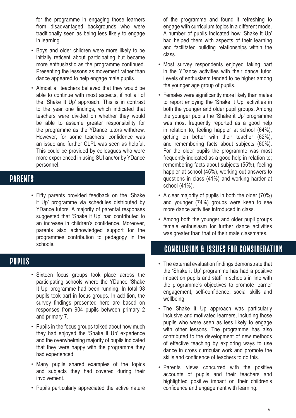for the programme in engaging those learners from disadvantaged backgrounds who were traditionally seen as being less likely to engage in learning.

- Boys and older children were more likely to be initially reticent about participating but became more enthusiastic as the programme continued. Presenting the lessons as movement rather than dance appeared to help engage male pupils.
- Almost all teachers believed that they would be able to continue with most aspects, if not all of the 'Shake It Up' approach. This is in contrast to the year one findings, which indicated that teachers were divided on whether they would be able to assume greater responsibility for the programme as the YDance tutors withdrew. However, for some teachers' confidence was an issue and further CLPL was seen as helpful. This could be provided by colleagues who were more experienced in using SUI and/or by YDance personnel.

## PARENTS

• Fifty parents provided feedback on the 'Shake it Up' programme via schedules distributed by YDance tutors. A majority of parental responses suggested that 'Shake it Up' had contributed to an increase in children's confidence. Moreover, parents also acknowledged support for the programmes contribution to pedagogy in the schools.

## PUPILS<sup>®</sup>

- Sixteen focus groups took place across the participating schools where the YDance 'Shake It Up' programme had been running. In total 98 pupils took part in focus groups. In addition, the survey findings presented here are based on responses from 904 pupils between primary 2 and primary 7.
- Pupils in the focus groups talked about how much they had enjoyed the 'Shake It Up' experience and the overwhelming majority of pupils indicated that they were happy with the programme they had experienced.
- Many pupils shared examples of the topics and subjects they had covered during their involvement.
- Pupils particularly appreciated the active nature

of the programme and found it refreshing to engage with curriculum topics in a different mode. A number of pupils indicated how 'Shake it Up' had helped them with aspects of their learning and facilitated building relationships within the class.

- Most survey respondents enjoyed taking part in the YDance activities with their dance tutor. Levels of enthusiasm tended to be higher among the younger age group of pupils.
- Females were significantly more likely than males to report enjoying the 'Shake it Up' activities in both the younger and older pupil groups. Among the younger pupils the 'Shake it Up' programme was most frequently reported as a good help in relation to; feeling happier at school (64%), getting on better with their teacher (62%), and remembering facts about subjects (60%). For the older pupils the programme was most frequently indicated as a good help in relation to; remembering facts about subjects (55%), feeling happier at school (45%), working out answers to questions in class (41%) and working harder at school (41%).
- A clear majority of pupils in both the older (70%) and younger (74%) groups were keen to see more dance activities introduced in class.
- Among both the younger and older pupil groups female enthusiasm for further dance activities was greater than that of their male classmates.

## CONCLUSION & ISSUES FOR CONSIDERATION

- The external evaluation findings demonstrate that the 'Shake it Up' programme has had a positive impact on pupils and staff in schools in line with the programme's objectives to promote learner engagement, self-confidence, social skills and wellbeing.
- The Shake it Up approach was particularly inclusive and motivated learners, including those pupils who were seen as less likely to engage with other lessons. The programme has also contributed to the development of new methods of effective teaching by exploring ways to use dance in cross curricular work and promote the skills and confidence of teachers to do this.
- Parents' views concurred with the positive accounts of pupils and their teachers and highlighted positive impact on their children's confidence and engagement with learning.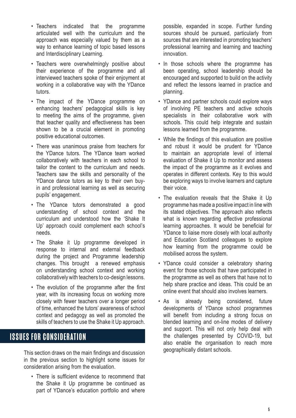- Teachers indicated that the programme articulated well with the curriculum and the approach was especially valued by them as a way to enhance learning of topic based lessons and Interdisciplinary Learning.
- Teachers were overwhelmingly positive about their experience of the programme and all interviewed teachers spoke of their enjoyment at working in a collaborative way with the YDance tutors.
- The impact of the YDance programme on enhancing teachers' pedagogical skills is key to meeting the aims of the programme, given that teacher quality and effectiveness has been shown to be a crucial element in promoting positive educational outcomes.
- There was unanimous praise from teachers for the YDance tutors. The YDance team worked collaboratively with teachers in each school to tailor the content to the curriculum and needs. Teachers saw the skills and personality of the YDance dance tutors as key to their own buyin and professional learning as well as securing pupils' engagement.
- The YDance tutors demonstrated a good understanding of school context and the curriculum and understood how the 'Shake It Up' approach could complement each school's needs.
- The Shake it Up programme developed in response to internal and external feedback during the project and Programme leadership changes. This brought a renewed emphasis on understanding school context and working collaboratively with teachers to co-design lessons.
- The evolution of the programme after the first year, with its increasing focus on working more closely with fewer teachers over a longer period of time, enhanced the tutors' awareness of school context and pedagogy as well as promoted the skills of teachers to use the Shake it Up approach.

## ISSUES FOR CONSIDERATION

This section draws on the main findings and discussion in the previous section to highlight some issues for consideration arising from the evaluation.

• There is sufficient evidence to recommend that the Shake it Up programme be continued as part of YDance's education portfolio and where possible, expanded in scope. Further funding sources should be pursued, particularly from sources that are interested in promoting teachers' professional learning and learning and teaching innovation.

- In those schools where the programme has been operating, school leadership should be encouraged and supported to build on the activity and reflect the lessons learned in practice and planning.
- YDance and partner schools could explore ways of involving PE teachers and active schools specialists in their collaborative work with schools. This could help integrate and sustain lessons learned from the programme.
- While the findings of this evaluation are positive and robust it would be prudent for YDance to maintain an appropriate level of internal evaluation of Shake it Up to monitor and assess the impact of the programme as it evolves and operates in different contexts. Key to this would be exploring ways to involve learners and capture their voice.
- The evaluation reveals that the Shake it Up programme has made a positive impact in line with its stated objectives. The approach also reflects what is known regarding effective professional learning approaches. It would be beneficial for YDance to liaise more closely with local authority and Education Scotland colleagues to explore how learning from the programme could be mobilised across the system.
- YDance could consider a celebratory sharing event for those schools that have participated in the programme as well as others that have not to help share practice and ideas. This could be an online event that should also involves learners.
- As is already being considered, future developments of YDance school programmes will benefit from including a strong focus on blended learning and on-line modes of delivery and support. This will not only help deal with the challenges presented by COVID-19, but also enable the organisation to reach more geographically distant schools.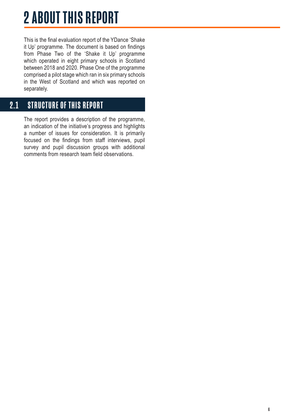## <span id="page-5-0"></span>2 ABOUT THIS REPORT

This is the final evaluation report of the YDance 'Shake it Up' programme. The document is based on findings from Phase Two of the 'Shake it Up' programme which operated in eight primary schools in Scotland between 2018 and 2020. Phase One of the programme comprised a pilot stage which ran in six primary schools in the West of Scotland and which was reported on separately.

## 2.1 STRUCTURE OF THIS REPORT

The report provides a description of the programme, an indication of the initiative's progress and highlights a number of issues for consideration. It is primarily focused on the findings from staff interviews, pupil survey and pupil discussion groups with additional comments from research team field observations.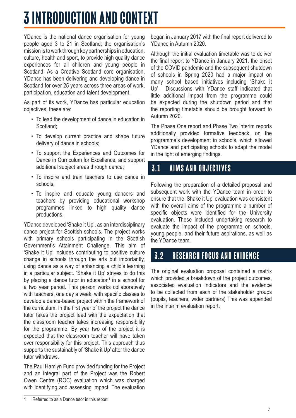## <span id="page-6-0"></span>3 INTRODUCTION AND CONTEXT

YDance is the national dance organisation for young people aged 3 to 21 in Scotland; the organisation's mission is to work through key partnerships in education, culture, health and sport, to provide high quality dance experiences for all children and young people in Scotland. As a Creative Scotland core organisation, YDance has been delivering and developing dance in Scotland for over 25 years across three areas of work, participation, education and talent development.

As part of its work, YDance has particular education objectives, these are:

- To lead the development of dance in education in Scotland;
- To develop current practice and shape future delivery of dance in schools;
- To support the Experiences and Outcomes for Dance in Curriculum for Excellence, and support additional subject areas through dance;
- To inspire and train teachers to use dance in schools;
- To inspire and educate young dancers and teachers by providing educational workshop programmes linked to high quality dance productions.

YDance developed 'Shake it Up', as an interdisciplinary dance project for Scottish schools. The project works with primary schools participating in the Scottish Government's Attainment Challenge. This aim of 'Shake it Up' includes contributing to positive culture change in schools through the arts but importantly, using dance as a way of enhancing a child's learning in a particular subject. 'Shake it Up' strives to do this by placing a dance tutor in education<sup>1</sup> in a school for a two year period. This person works collaboratively with teachers, one day a week, with specific classes to develop a dance-based project within the framework of the curriculum. In the first year of the project the dance tutor takes the project lead with the expectation that the classroom teacher takes increasing responsibility for the programme. By year two of the project it is expected that the classroom teacher will have taken over responsibility for this project. This approach thus supports the sustainably of 'Shake it Up' after the dance tutor withdraws.

The Paul Hamlyn Fund provided funding for the Project and an integral part of the Project was the Robert Owen Centre (ROC) evaluation which was charged with identifying and assessing impact. The evaluation

began in January 2017 with the final report delivered to YDance in Autumn 2020.

Although the initial evaluation timetable was to deliver the final report to YDance in January 2021, the onset of the COVID pandemic and the subsequent shutdown of schools in Spring 2020 had a major impact on many school based initiatives including 'Shake it Up'. Discussions with YDance staff indicated that little additional impact from the programme could be expected during the shutdown period and that the reporting timetable should be brought forward to Autumn 2020.

The Phase One report and Phase Two interim reports additionally provided formative feedback, on the programme's development in schools, which allowed YDance and participating schools to adapt the model in the light of emerging findings.

## 3.1 AIMS AND OBJECTIVES

Following the preparation of a detailed proposal and subsequent work with the YDance team in order to ensure that the 'Shake it Up' evaluation was consistent with the overall aims of the programme a number of specific objects were identified for the University evaluation. These included undertaking research to evaluate the impact of the programme on schools, young people, and their future aspirations, as well as the YDance team.

## 3.2 RESEARCH FOCUS AND EVIDENCE

The original evaluation proposal contained a matrix which provided a breakdown of the project outcomes, associated evaluation indicators and the evidence to be collected from each of the stakeholder groups (pupils, teachers, wider partners) This was appended in the interim evaluation report.

<sup>1</sup> Referred to as a Dance tutor in this report.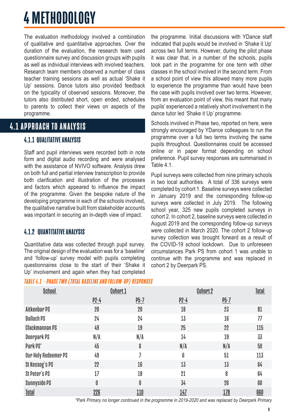## <span id="page-7-0"></span>4 METHODOLOGY

The evaluation methodology involved a combination of qualitative and quantitative approaches. Over the duration of the evaluation, the research team used questionnaire survey and discussion groups with pupils as well as individual interviews with involved teachers. Research team members observed a number of class teacher training sessions as well as actual 'Shake it Up' sessions. Dance tutors also provided feedback on the typicality of observed sessions. Moreover, the tutors also distributed short, open ended, schedules to parents to collect their views on aspects of the programme.

## **4.1 APPROACH TO ANALYSIS**

### 4.1.1 QUALITATIVE ANALYSIS

Staff and pupil interviews were recorded both in note form and digital audio recording and were analysed with the assistance of NVIVO software. Analysis drew on both full and partial interview transcription to provide both clarification and illustration of the processes and factors which appeared to influence the impact of the programme. Given the bespoke nature of the developing programme in each of the schools involved, the qualitative narrative built from stakeholder accounts was important in securing an in-depth view of impact.

#### 4.1.2 QUANTITATIVE ANALYSIS

Quantitative data was collected through pupil survey. The original design of the evaluation was for a 'baseline' and 'follow-up' survey model with pupils completing questionnaires close to the start of their 'Shake it Up' involvement and again when they had completed

#### TABLE 4.1 - PHASE TWO (TOTAL BASELINE AND FOLLOW-UP) RESPONSES

the programme. Initial discussions with YDance staff indicated that pupils would be involved in 'Shake it Up' across two full terms. However, during the pilot phase it was clear that, in a number of the schools, pupils took part in the programme for one term with other classes in the school involved in the second term. From a school point of view this allowed many more pupils to experience the programme than would have been the case with pupils involved over two terms. However, from an evaluation point of view, this meant that many pupils' experienced a relatively short involvement in the dance tutor led 'Shake it Up' programme.

Schools involved in Phase two, reported on here, were strongly encouraged by YDance colleagues to run the programme over a full two terms involving the same pupils throughout. Questionnaires could be accessed online or in paper format depending on school preference. Pupil survey responses are summarised in Table 4.1.

Pupil surveys were collected from nine primary schools in two local authorities. A total of 336 surveys were completed by cohort 1. Baseline surveys were collected in January 2019 and the corresponding follow-up surveys were collected in July 2019. The following school year, 325 new pupils completed surveys in cohort 2. In cohort 2, baseline surveys were collected in August 2019 and the corresponding follow-up surveys were collected in March 2020. The cohort 2 follow-up survey collection was brought forward as a result of the COVID-19 school lockdown. Due to unforeseen circumstances Park PS from cohort 1 was unable to continue with the programme and was replaced in cohort 2 by Deerpark PS.

| <b>School</b>         |        | <b>Cohort 1</b> |            | <b>Cohort 2</b> | <b>Total</b> |
|-----------------------|--------|-----------------|------------|-----------------|--------------|
|                       | $p2-4$ | $P5-7$          | $p2-4$     | $P5-7$          |              |
| Aitkenbar PS          | 20     | 20              | 18         | 23              | 81           |
| <b>Balloch PS</b>     | 24     | 24              | 13         | 16              | 77           |
| <b>Clackmannan PS</b> | 49     | 19              | 25         | 22              | 115          |
| Deerpark PS           | N/A    | N/A             | 14         | 19              | 33           |
| Park PS*              | 45     | 6               | N/A        | N/A             | 50           |
| Our Holy Redeemer PS  | 49     |                 | 6          | 51              | 113          |
| St Kessog's PS        | 22     | 16              | 13         | 13              | 64           |
| St Peter's PS         | 17     | 18              | 21         | 8               | 64           |
| <b>Sunnyside PS</b>   | 0      | 0               | 34         | 26              | 60           |
| <b>Total</b>          | 226    | 110             | <u>147</u> | 178             | <b>660</b>   |

\*Park Primary no longer continued in the programme in 2019-2020 and was replaced by Deerpark Primary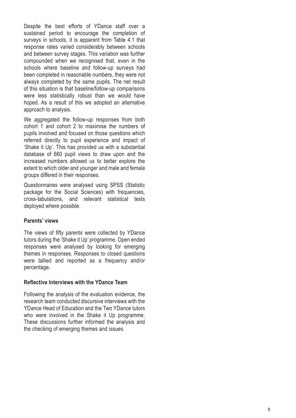Despite the best efforts of YDance staff over a sustained period to encourage the completion of surveys in schools, it is apparent from Table 4.1 that response rates varied considerably between schools and between survey stages. This variation was further compounded when we recognised that, even in the schools where baseline and follow-up surveys had been completed in reasonable numbers, they were not always completed by the same pupils. The net result of this situation is that baseline/follow-up comparisons were less statistically robust than we would have hoped. As a result of this we adopted an alternative approach to analysis.

We aggregated the follow-up responses from both cohort 1 and cohort 2 to maximise the numbers of pupils involved and focused on those questions which referred directly to pupil experience and impact of 'Shake it Up'. This has provided us with a substantial database of 660 pupil views to draw upon and the increased numbers allowed us to better explore the extent to which older and younger and male and female groups differed in their responses.

Questionnaires were analysed using SPSS (Statistic package for the Social Sciences) with frequencies, cross-tabulations, and relevant statistical tests deployed where possible.

#### **Parents' views**

The views of fifty parents were collected by YDance tutors during the 'Shake it Up' programme. Open ended responses were analysed by looking for emerging themes in responses. Responses to closed questions were tallied and reported as a frequency and/or percentage.

#### **Reflective Interviews with the YDance Team**

Following the analysis of the evaluation evidence, the research team conducted discursive interviews with the YDance Head of Education and the Two YDance tutors who were involved in the Shake it Up programme. These discussions further informed the analysis and the checking of emerging themes and issues.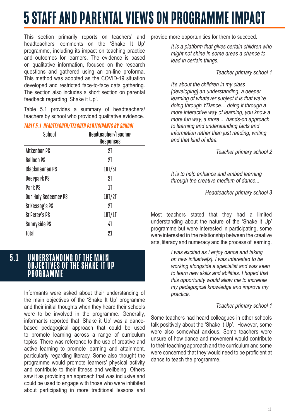## <span id="page-9-0"></span>5 STAFF AND PARENTAL VIEWS ON PROGRAMME IMPACT

This section primarily reports on teachers' and headteachers' comments on the 'Shake It Up' programme, including its impact on teaching practice and outcomes for learners. The evidence is based on qualitative information, focused on the research questions and gathered using an on-line proforma. This method was adopted as the COVID-19 situation developed and restricted face-to-face data gathering. The section also includes a short section on parental feedback regarding 'Shake it Up'.

Table 5.1 provides a summary of headteachers/ teachers by school who provided qualitative evidence.

#### TABLE 5.1 HEADTEACHER/TEACHER PARTICIPANTS BY SCHOOL

| <b>School</b>        | Headteacher/Teacher<br>Responses |
|----------------------|----------------------------------|
| Aitkenbar PS         | 2T                               |
| <b>Balloch PS</b>    | 21                               |
| Clackmannan PS       | 1H <sub>1</sub> /3I              |
| Deerpark PS          | 2T                               |
| Park PS              | 11                               |
| Our Holy Redeemer PS | 1H <sub>1</sub> /2I              |
| St Kessog's PS       | 2T                               |
| St Peter's PS        | 1H/I                             |
| Sunnyside PS         | 41                               |
| Total                | 21                               |

5.1 UNDERSTANDING OF THE MAIN OBJECTIVES OF THE SHAKE IT UP **PROGRAMME** 

> Informants were asked about their understanding of the main objectives of the 'Shake It Up' programme and their initial thoughts when they heard their schools were to be involved in the programme. Generally, informants reported that 'Shake it Up' was a dancebased pedagogical approach that could be used to promote learning across a range of curriculum topics. There was reference to the use of creative and active learning to promote learning and attainment, particularly regarding literacy. Some also thought the programme would promote learners' physical activity and contribute to their fitness and wellbeing. Others saw it as providing an approach that was inclusive and could be used to engage with those who were inhibited about participating in more traditional lessons and

provide more opportunities for them to succeed.

It is a platform that gives certain children who might not shine in some areas a chance to lead in certain things.

#### Teacher primary school 1

It's about the children in my class [developing] an understanding, a deeper learning of whatever subject it is that we're doing through YDance… doing it through a more interactive way of learning, you know a more fun way, a more ... hands-on approach to learning and understanding facts and information rather than just reading, writing and that kind of idea.

Teacher primary school 2

It is to help enhance and embed learning through the creative medium of dance...

Headteacher primary school 3

Most teachers stated that they had a limited understanding about the nature of the 'Shake it Up' programme but were interested in participating, some were interested in the relationship between the creative arts, literacy and numeracy and the process of learning.

> I was excited as I enjoy dance and taking on new initiative[s]. I was interested to be working alongside a specialist and was keen to learn new skills and abilities. I hoped that this opportunity would allow me to increase my pedagogical knowledge and improve my practice.

#### Teacher primary school 1

Some teachers had heard colleagues in other schools talk positively about the 'Shake it Up'. However, some were also somewhat anxious. Some teachers were unsure of how dance and movement would contribute to their teaching approach and the curriculum and some were concerned that they would need to be proficient at dance to teach the programme.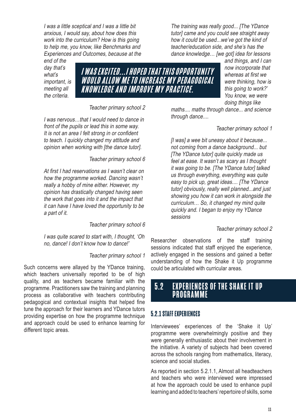<span id="page-10-0"></span>I was a little sceptical and I was a little bit anxious, I would say, about how does this work into the curriculum? How is this going to help me, you know, like Benchmarks and Experiences and Outcomes, because at the

end of the day that's what's important, is meeting all the criteria.



Teacher primary school 2

I was nervous…that I would need to dance in front of the pupils or lead this in some way. It is not an area I felt strong in or confident to teach. I quickly changed my attitude and opinion when working with [the dance tutor].

Teacher primary school 6

At first I had reservations as I wasn't clear on how the programme worked. Dancing wasn't really a hobby of mine either. However, my opinion has drastically changed having seen the work that goes into it and the impact that it can have I have loved the opportunity to be a part of it.

Teacher primary school 6

I was quite scared to start with, I thought, 'Oh no, dance! I don't know how to dance!'

#### Teacher primary school 1

Such concerns were allayed by the YDance training, which teachers universally reported to be of high quality, and as teachers became familiar with the programme. Practitioners saw the training and planning process as collaborative with teachers contributing pedagogical and contextual insights that helped fine tune the approach for their learners and YDance tutors providing expertise on how the programme technique and approach could be used to enhance learning for different topic areas.

The training was really good... [The YDance tutor] came and you could see straight away how it could be used...we've got the kind of teacher/education side, and she's has the dance knowledge... [we got] idea for lessons

and things, and I can now incorporate that whereas at first we were thinking, how is this going to work?' You know, we were doing things like

maths.... maths through dance... and science through dance....

Teacher primary school 1

[I was] a wee bit uneasy about it because... not coming from a dance background... but [The YDance tutor] quite quickly made us feel at ease. It wasn't as scary as I thought it was going to be. [The YDance tutor] talked us through everything, everything was quite easy to pick up, great ideas.... [The YDance tutor] obviously, really well planned...and just showing you how it can work in alongside the curriculum… So, it changed my mind quite quickly and. I began to enjoy my YDance sessions

#### Teacher primary school 2

Researcher observations of the staff training sessions indicated that staff enjoyed the experience, actively engaged in the sessions and gained a better understanding of how the Shake it Up programme could be articulated with curricular areas.

## 5.2 EXPERIENCES OF THE SHAKE IT UP PROGRAMME

#### 5.2.1 STAFF EXPERIENCES

Interviewees' experiences of the 'Shake it Up' programme were overwhelmingly positive and they were generally enthusiastic about their involvement in the initiative. A variety of subjects had been covered across the schools ranging from mathematics, literacy, science and social studies.

As reported in section 5.2.1.1, Almost all headteachers and teachers who were interviewed were impressed at how the approach could be used to enhance pupil learning and added to teachers' repertoire of skills, some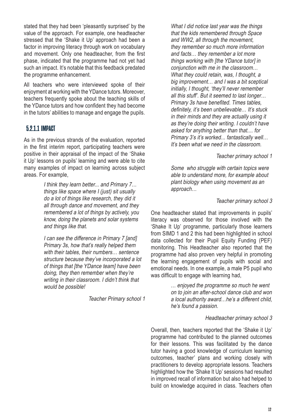stated that they had been 'pleasantly surprised' by the value of the approach. For example, one headteacher stressed that the 'Shake it Up' approach had been a factor in improving literacy through work on vocabulary and movement. Only one headteacher, from the first phase, indicated that the programme had not yet had such an impact. It's notable that this feedback predated the programme enhancement.

All teachers who were interviewed spoke of their enjoyment at working with the YDance tutors. Moreover, teachers frequently spoke about the teaching skills of the YDance tutors and how confident they had become in the tutors' abilities to manage and engage the pupils.

#### 5.2.1.1 IMPACT

As in the previous strands of the evaluation, reported in the first interim report, participating teachers were positive in their appraisal of the impact of the 'Shake it Up' lessons on pupils' learning and were able to cite many examples of impact on learning across subject areas. For example,

> I think they learn better... and Primary 7… things like space where I (just) sit usually do a lot of things like research, they did it all through dance and movement, and they remembered a lot of things by actively, you know, doing the planets and solar systems and things like that.

I can see the difference in Primary 7 [and] Primary 3s, how that's really helped them with their tables, their numbers… sentence structure because they've incorporated a lot of things that [the YDance team] have been doing, they then remember when they're writing in their classroom. I didn't think that would be possible!

Teacher Primary school 1

What I did notice last year was the things that the kids remembered through Space and WW2, all through the movement, they remember so much more information and facts… they remember a lot more things working with [the YDance tutor] in conjunction with me in the classroom… What they could retain, was, I thought, a big improvement… and I was a bit sceptical initially, I thought, 'they'll never remember all this stuff'. But it seemed to last longer… Primary 3s have benefited. Times tables, definitely, it's been unbelievable… It's stuck in their minds and they are actually using it as they're doing their writing. I couldn't have asked for anything better than that.... for Primary 3's it's worked... fantastically well… It's been what we need in the classroom.

Teacher primary school 1

Some who struggle with certain topics were able to understand more, for example about plant biology when using movement as an approach…

#### Teacher primary school 3

One headteacher stated that improvements in pupils' literacy was observed for those involved with the 'Shake It Up' programme, particularly those learners from SIMD 1 and 2 this had been highlighted in school data collected for their Pupil Equity Funding (PEF) monitoring. This Headteacher also reported that the programme had also proven very helpful in promoting the learning engagement of pupils with social and emotional needs. In one example, a male P5 pupil who was difficult to engage with learning had,

> … enjoyed the programme so much he went on to join an after-school dance club and won a local authority award…he's a different child, he's found a passion.

#### Headteacher primary school 3

Overall, then, teachers reported that the 'Shake it Up' programme had contributed to the planned outcomes for their lessons. This was facilitated by the dance tutor having a good knowledge of curriculum learning outcomes, teacher' plans and working closely with practitioners to develop appropriate lessons. Teachers highlighted how the 'Shake It Up' sessions had resulted in improved recall of information but also had helped to build on knowledge acquired in class. Teachers often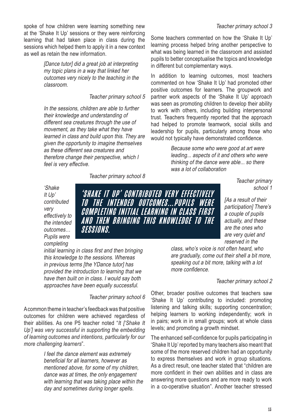spoke of how children were learning something new at the 'Shake It Up' sessions or they were reinforcing learning that had taken place in class during the sessions which helped them to apply it in a new context as well as retain the new information.

> [Dance tutor] did a great job at interpreting my topic plans in a way that linked her outcomes very nicely to the teaching in the classroom.

> > Teacher primary school 5

In the sessions, children are able to further their knowledge and understanding of different sea creatures through the use of movement, as they take what they have learned in class and build upon this. They are given the opportunity to imagine themselves as these different sea creatures and therefore change their perspective, which I feel is very effective.

Teacher primary school 8

#### Teacher primary school 3

Some teachers commented on how the 'Shake It Up' learning process helped bring another perspective to what was being learned in the classroom and assisted pupils to better conceptualise the topics and knowledge in different but complementary ways.

In addition to learning outcomes, most teachers commented on how 'Shake It Up' had promoted other positive outcomes for learners. The groupwork and partner work aspects of the 'Shake It Up' approach was seen as promoting children to develop their ability to work with others, including building interpersonal trust. Teachers frequently reported that the approach had helped to promote teamwork, social skills and leadership for pupils, particularly among those who would not typically have demonstrated confidence.

> Because some who were good at art were leading... aspects of it and others who were thinking of the dance were able... so there was a lot of collaboration

> > Teacher primary school 1

[As a result of their participation] There's a couple of pupils actually, and these are the ones who

'Shake It Up' contributed very effectively to the intended outcomes… Pupils were completing

'SHAKE IT UP' CONTRIBUTED VERY EFFECTIVELY TO THE INTENDED OUTCOMES... PUPILS WERE COMPLETING INITIAL LEARNING IN CLASS FIRST AND THEN BRINGING THIS KNOWLEDGE TO THE **SESSIONS**.

initial learning in class first and then bringing this knowledge to the sessions. Whereas in previous terms [the YDance tutor] has provided the introduction to learning that we have then built on in class. I would say both approaches have been equally successful.

Teacher primary school 6

A common theme in teacher's feedback was that positive outcomes for children were achieved regardless of their abilities. As one P5 teacher noted "*It ['Shake It Up'] was very successful in supporting the embedding of learning outcomes and intentions, particularly for our more challenging learners*".

> I feel the dance element was extremely beneficial for all learners, however as mentioned above, for some of my children, dance was at times, the only engagement with learning that was taking place within the day and sometimes during longer spells.

are very quiet and reserved in the class, who's voice is not often heard, who are gradually, come out their shell a bit more, speaking out a bit more, talking with a lot more confidence.

#### Teacher primary school 2

Other, broader positive outcomes that teachers saw 'Shake It Up' contributing to included: promoting listening and talking skills; supporting concentration; helping learners to working independently; work in in pairs; work in in small groups; work at whole class levels; and promoting a growth mindset.

The enhanced self-confidence for pupils participating in 'Shake It Up' reported by many teachers also meant that some of the more reserved children had an opportunity to express themselves and work in group situations. As a direct result, one teacher stated that "children are more confident in their own abilities and in class are answering more questions and are more ready to work in a co-operative situation". Another teacher stressed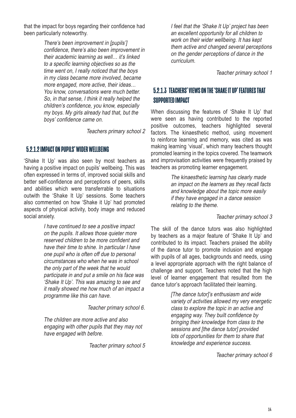that the impact for boys regarding their confidence had been particularly noteworthy.

> There's been improvement in [pupils'] confidence, there's also been improvement in their academic learning as well… it's linked to a specific learning objectives so as the time went on, I really noticed that the boys in my class became more involved, became more engaged, more active, their ideas… You know, conversations were much better. So, in that sense, I think it really helped the children's confidence, you know, especially my boys. My girls already had that, but the boys' confidence came on.

> > Teachers primary school 2

#### 5.2.1.2 IMPACT ON PUPILS' WIDER WELLBEING

'Shake It Up' was also seen by most teachers as having a positive impact on pupils' wellbeing. This was often expressed in terms of, improved social skills and better self-confidence and perceptions of peers, skills and abilities which were transferrable to situations outwith the 'Shake It Up' sessions. Some teachers also commented on how 'Shake it Up' had promoted aspects of physical activity, body image and reduced social anxiety.

> I have continued to see a positive impact on the pupils. It allows those quieter more reserved children to be more confident and have their time to shine. In particular I have one pupil who is often off due to personal circumstances who when he was in school the only part of the week that he would participate in and put a smile on his face was 'Shake It Up'. This was amazing to see and it really showed me how much of an impact a programme like this can have.

> > Teacher primary school 6.

The children are more active and also engaging with other pupils that they may not have engaged with before.

Teacher primary school 5

I feel that the 'Shake It Up' project has been an excellent opportunity for all children to work on their wider wellbeing. It has kept them active and changed several perceptions on the gender perceptions of dance in the curriculum.

Teacher primary school 1

### 5.2.1.3 TEACHERS' VIEWS ON THE 'SHAKE IT UP' FEATURES THAT SUPPORTED IMPACT

When discussing the features of 'Shake It Up' that were seen as having contributed to the reported positive outcomes, teachers highlighted several factors. The kinaesthetic method, using movement to reinforce learning and memory, was cited as was making learning 'visual', which many teachers thought promoted learning in the topics covered. The teamwork and improvisation activities were frequently praised by teachers as promoting learner engagement.

> The kinaesthetic learning has clearly made an impact on the learners as they recall facts and knowledge about the topic more easily if they have engaged in a dance session relating to the theme.

> > Teacher primary school 3

The skill of the dance tutors was also highlighted by teachers as a major feature of 'Shake It Up' and contributed to its impact. Teachers praised the ability of the dance tutor to promote inclusion and engage with pupils of all ages, backgrounds and needs, using a level appropriate approach with the right balance of challenge and support. Teachers noted that the high level of learner engagement that resulted from the dance tutor's approach facilitated their learning.

> [The dance tutor]'s enthusiasm and wide variety of activities allowed my very energetic class to explore the topic in an active and engaging way. They built confidence by bringing their knowledge from class to the sessions and [the dance tutor] provided lots of opportunities for them to share that knowledge and experience success.

> > Teacher primary school 6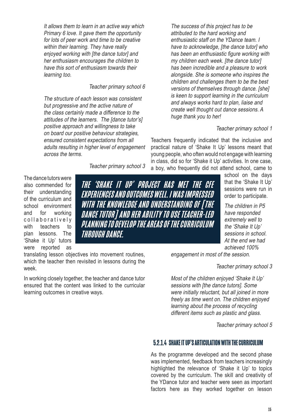It allows them to learn in an active way which Primary 6 love. It gave them the opportunity for lots of peer work and time to be creative within their learning. They have really enjoyed working with [the dance tutor] and her enthusiasm encourages the children to have this sort of enthusiasm towards their learning too.

Teacher primary school 6

The structure of each lesson was consistent but progressive and the active nature of the class certainly made a difference to the attitudes of the learners. The [dance tutor's] positive approach and willingness to take on board our positive behaviour strategies, ensured consistent expectations from all adults resulting in higher level of engagement across the terms.

Teacher primary school 3

The dance tutors were also commended for their understanding of the curriculum and school environment and for working collaboratively with teachers to plan lessons. The 'Shake it Up' tutors were reported as

THE 'SHAKE IT UP' PROJECT HAS MET THE CFE EXPERIENCES AND OUTCOMES WELL. I WAS IMPRESSED WITH THE KNOWLEDGE AND UNDERSTANDING OF [THE DANCE TUTOR] AND HER ABILITY TO USE TEACHER-LED PLANNING TO DEVELOP THE AREAS OF THE CURRICULUM THROUGH DANCE.

translating lesson objectives into movement routines, which the teacher then revisited in lessons during the week.

In working closely together, the teacher and dance tutor ensured that the content was linked to the curricular learning outcomes in creative ways.

The success of this project has to be attributed to the hard working and enthusiastic staff on the YDance team. I have to acknowledge, [the dance tutor] who has been an enthusiastic figure working with my children each week. [the dance tutor] has been incredible and a pleasure to work alongside. She is someone who inspires the children and challenges them to be the best versions of themselves through dance. [she] is keen to support learning in the curriculum and always works hard to plan, liaise and create well thought out dance sessions. A huge thank you to her!

#### Teacher primary school 1

Teachers frequently indicated that the inclusive and practical nature of 'Shake It Up' lessons meant that young people, who often would not engage with learning in class, did so for 'Shake it Up' activities. In one case, a boy, who frequently did not attend school, came to

school on the days that the 'Shake It Up' sessions were run in order to participate.

The children in P5 have responded extremely well to the 'Shake It Up' sessions in school. At the end we had achieved 100%

engagement in most of the session.

Teacher primary school 3

Most of the children enjoyed 'Shake It Up' sessions with [the dance tutors]. Some were initially reluctant, but all joined in more freely as time went on. The children enjoyed learning about the process of recycling different items such as plastic and glass.

Teacher primary school 5

#### 5.2.1.4 SHAKE IT UP'S ARTICULATION WITH THE CURRICULUM

As the programme developed and the second phase was implemented, feedback from teachers increasingly highlighted the relevance of 'Shake it Up' to topics covered by the curriculum. The skill and creativity of the YDance tutor and teacher were seen as important factors here as they worked together on lesson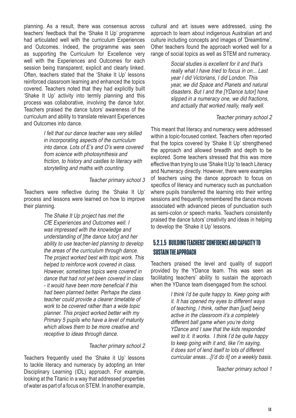planning. As a result, there was consensus across teachers' feedback that the 'Shake It Up' programme had articulated well with the curriculum Experiences and Outcomes. Indeed, the programme was seen as supporting the Curriculum for Excellence very well with the Experiences and Outcomes for each session being transparent, explicit and clearly linked. Often, teachers stated that the 'Shake It Up' lessons reinforced classroom learning and enhanced the topics covered. Teachers noted that they had explicitly built 'Shake It Up' activity into termly planning and this process was collaborative, involving the dance tutor. Teachers praised the dance tutors' awareness of the curriculum and ability to translate relevant Experiences and Outcomes into dance.

> I felt that our dance teacher was very skilled in incorporating aspects of the curriculum into dance. Lots of E's and O's were covered from science with photosynthesis and friction, to history and castles to literacy with storytelling and maths with counting.

#### Teacher primary school 3

Teachers were reflective during the 'Shake It Up' process and lessons were learned on how to improve their planning.

> The Shake It Up project has met the CfE Experiences and Outcomes well. I was impressed with the knowledge and understanding of [the dance tutor] and her ability to use teacher-led planning to develop the areas of the curriculum through dance. The project worked best with topic work. This helped to reinforce work covered in class. However, sometimes topics were covered in dance that had not yet been covered in class - it would have been more beneficial if this had been planned better. Perhaps the class teacher could provide a clearer timetable of work to be covered rather than a wide topic planner. This project worked better with my Primary 5 pupils who have a level of maturity which allows them to be more creative and receptive to ideas through dance.

#### Teacher primary school 2

Teachers frequently used the 'Shake it Up' lessons to tackle literacy and numeracy by adopting an Inter Disciplinary Learning (IDL) approach. For example, looking at the Titanic in a way that addressed properties of water as part of a focus on STEM. In another example,

cultural and art issues were addressed, using the approach to learn about indigenous Australian art and culture including concepts and images of 'Dreamtime'. Other teachers found the approach worked well for a range of social topics as well as STEM and numeracy.

> Social studies is excellent for it and that's really what I have tried to focus in on... Last year I did Victorians, I did London. This year, we did Space and Planets and natural disasters. But I and the [YDance tutor] have slipped in a numeracy one, we did fractions, and actually that worked really, really well.

#### Teacher primary school 2

This meant that literacy and numeracy were addressed within a topic-focused context. Teachers often reported that the topics covered by 'Shake It Up' strengthened the approach and allowed breadth and depth to be explored. Some teachers stressed that this was more effective than trying to use 'Shake It Up' to teach Literacy and Numeracy directly. However, there were examples of teachers using the dance approach to focus on specifics of literacy and numeracy such as punctuation where pupils transferred the learning into their writing sessions and frequently remembered the dance moves associated with advanced pieces of punctuation such as semi-colon or speech marks. Teachers consistently praised the dance tutors' creativity and ideas in helping to develop the 'Shake it Up' lessons.

### 5.2.1.5 BUILDING TEACHERS' CONFIDENCE AND CAPACITY TO SUSTAIN THE APPROACH

Teachers praised the level and quality of support provided by the YDance team. This was seen as facilitating teachers' ability to sustain the approach when the YDance team disengaged from the school.

> I think I'd be quite happy to. Keep going with it. It has opened my eyes to different ways of teaching, I think, rather than [just] being active in the classroom it's a completely different ball game when you're doing YDance and I saw that the kids responded well to it. It works. I think I'd be quite happy to keep going with it and, like I'm saying, it does sort of lend itself to lots of different curricular areas…[I'd do it] on a weekly basis.

> > Teacher primary school 1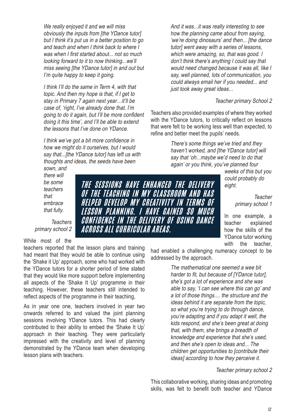We really enjoyed it and we will miss obviously the inputs from [the YDance tutor] but I think it's put us in a better position to go and teach and when I think back to where I was when I first started about... not so much looking forward to it to now thinking...we'll miss seeing [the YDance tutor] in and out but I'm quite happy to keep it going.

I think I'll do the same in Term 4, with that topic. And then my hope is that, if I get to stay in Primary 7 again next year...it'll be case of, 'right, I've already done that. I'm going to do it again, but I'll be more confident doing it this time', and I'll be able to extend the lessons that I've done on YDance.

I think we've got a bit more confidence in how we might do it ourselves, but I would say that...[the YDance tutor] has left us with thoughts and ideas, the seeds have been

> THE SESSIONS HAVE ENHANGED THE DELIVERY OF THE TEACHING IN MY CLASSROOM AND HAS HELPED DEVELOP MY CREATIVITY IN TERMS OF LESSON PLANNING. I HAVE GAINED SO MUCH CONFIDENCE IN THE DELIVERY OF USING DANCE

ACROSS ALL CURRICULAR AREAS.

sown, and there will be some teachers that embrace that fully.

**Teachers** primary school 2

While most of the teachers reported that the lesson plans and training had meant that they would be able to continue using the 'Shake it Up' approach, some who had worked with the YDance tutors for a shorter period of time stated that they would like more support before implementing all aspects of the 'Shake It Up' programme in their

As in year one one, teachers involved in year two onwards referred to and valued the joint planning sessions involving YDance tutors. This had clearly contributed to their ability to embed the 'Shake It Up' approach in their teaching. They were particularly impressed with the creativity and level of planning demonstrated by the YDance team when developing lesson plans with teachers.

teaching. However, these teachers still intended to reflect aspects of the programme in their teaching,

And it was...it was really interesting to see how the planning came about from saying, 'we're doing dinosaurs' and then... [the dance tutor] went away with a series of lessons, which were amazing, so, that was good. I don't think there's anything I could say that would need changed because it was all, like I say, well planned, lots of communication, you could always email her if you needed... and just took away great ideas...

#### Teacher primary School 2

Teachers also provided examples of where they worked with the YDance tutors, to critically reflect on lessons that were felt to be working less well than expected, to refine and better meet the pupils' needs.

> There's some things we've tried and they haven't worked, and [the YDance tutor] will say that 'oh...maybe we'd need to do that again' or you think, you've planned four

> > weeks of this but you could probably do eight.

> > > **Teacher** primary school 1

In one example, a teacher explained how the skills of the YDance tutor working with the teacher,

had enabled a challenging numeracy concept to be addressed by the approach.

> The mathematical one seemed a wee bit harder to fit, but because of [YDance tutor], she's got a lot of experience and she was able to say, 'I can see where this can go' and a lot of those things.... the structure and the ideas behind it are separate from the topic, so what you're trying to do through dance, you're adapting and if you adapt it well, the kids respond, and she's been great at doing that, with them, she brings a breadth of knowledge and experience that she's used, and then she's open to ideas and... The children get opportunities to [contribute their ideas] according to how they perceive it.

#### Teacher primary school 2

This collaborative working, sharing ideas and promoting skills, was felt to benefit both teacher and YDance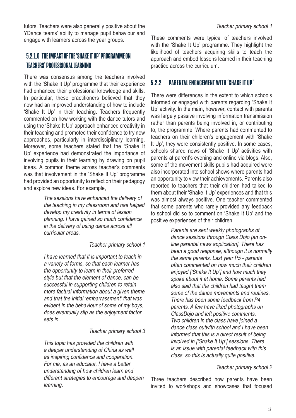tutors. Teachers were also generally positive about the YDance teams' ability to manage pupil behaviour and engage with learners across the year groups.

## 5.2.1.6 THE IMPACT OF THE 'SHAKE IT UP' PROGRAMME ON TEACHERS' PROFESSIONAL LEARNING

There was consensus among the teachers involved with the 'Shake It Up' programme that their experience had enhanced their professional knowledge and skills. In particular, these practitioners believed that they now had an improved understanding of how to include 'Shake It Up' in their teaching. Teachers frequently commented on how working with the dance tutors and using the 'Shake It Up' approach enhanced creativity in their teaching and promoted their confidence to try new approaches, particularly in interdisciplinary learning. Moreover, some teachers stated that the 'Shake It Up' experience had demonstrated the importance of involving pupils in their learning by drawing on pupil ideas. A common theme across teacher's comments was that involvement in the 'Shake It Up' programme had provided an opportunity to reflect on their pedagogy and explore new ideas. For example,

> The sessions have enhanced the delivery of the teaching in my classroom and has helped develop my creativity in terms of lesson planning. I have gained so much confidence in the delivery of using dance across all curricular areas.

#### Teacher primary school 1

I have learned that it is important to teach in a variety of forms, so that each learner has the opportunity to learn in their preferred style but that the element of dance, can be successful in supporting children to retain more factual information about a given theme and that the initial 'embarrassment' that was evident in the behaviour of some of my boys, does eventually slip as the enjoyment factor sets in.

#### Teacher primary school 3

This topic has provided the children with a deeper understanding of China as well as inspiring confidence and cooperation. For me, as an educator, I have a better understanding of how children learn and different strategies to encourage and deepen learning.

These comments were typical of teachers involved with the 'Shake It Up' programme. They highlight the likelihood of teachers acquiring skills to teach the approach and embed lessons learned in their teaching practice across the curriculum.

### 5.2.2 PARENTAL ENGAGEMENT WITH 'SHAKE IT UP'

There were differences in the extent to which schools informed or engaged with parents regarding 'Shake It Up' activity. In the main, however, contact with parents was largely passive involving information transmission rather than parents being involved in, or contributing to, the programme. Where parents had commented to teachers on their children's engagement with 'Shake It Up', they were consistently positive. In some cases, schools shared news of 'Shake It Up' activities with parents at parent's evening and online via blogs. Also, some of the movement skills pupils had acquired were also incorporated into school shows where parents had an opportunity to view their achievements. Parents also reported to teachers that their children had talked to them about their 'Shake It Up' experiences and that this was almost always positive. One teacher commented that some parents who rarely provided any feedback to school did so to comment on 'Shake It Up' and the positive experiences of their children.

> Parents are sent weekly photographs of dance sessions through Class Dojo [an online parental news application]. There has been a good response, although it is normally the same parents. Last year P5 - parents often commented on how much their children enjoyed ['Shake It Up'] and how much they spoke about it at home. Some parents had also said that the children had taught them some of the dance movements and routines. There has been some feedback from P4 parents. A few have liked photographs on ClassDojo and left positive comments. Two children in the class have joined a dance class outwith school and I have been informed that this is a direct result of being involved in ['Shake It Up'] sessions. There is an issue with parental feedback with this class, so this is actually quite positive.

#### Teacher primary school 2

Three teachers described how parents have been invited to workshops and showcases that focused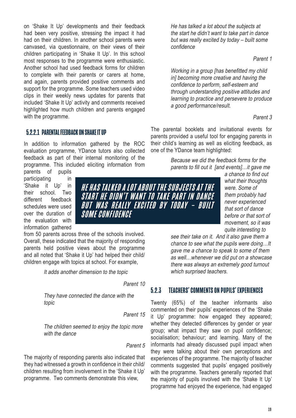on 'Shake It Up' developments and their feedback had been very positive, stressing the impact it had had on their children. In another school parents were canvased, via questionnaire, on their views of their children participating in 'Shake It Up'. In this school most responses to the programme were enthusiastic. Another school had used feedback forms for children to complete with their parents or carers at home, and again, parents provided positive comments and support for the programme. Some teachers used video clips in their weekly news updates for parents that included 'Shake It Up' activity and comments received highlighted how much children and parents engaged with the programme.

#### 5.2.2.1 PARENTAL FEEDBACK ON SHAKE IT UP

In addition to information gathered by the ROC evaluation programme, YDance tutors also collected feedback as part of their internal monitoring of the programme. This included eliciting information from parents of pupils

participating in 'Shake it Up' in their school. Two different feedback schedules were used over the duration of the evaluation with information gathered

from 50 parents across three of the schools involved. Overall, these indicated that the majority of responding parents held positive views about the programme and all noted that 'Shake it Up' had helped their child/ children engage with topics at school. For example,

SOME CONFIDENCE

It adds another dimension to the topic

Parent 10

HE HAS TALKED A LOT ABOUT THE SUBJECTS AT THE START HE DIDN'T WANT TO TAKE PART IN DANCE BUT WAS REALLY EXCITED BY TODAY – BUILT

They have connected the dance with the topic

Parent 15

The children seemed to enjoy the topic more with the dance

Parent 5

The majority of responding parents also indicated that they had witnessed a growth in confidence in their child/ children resulting from involvement in the 'Shake it Up' programme. Two comments demonstrate this view,

He has talked a lot about the subjects at the start he didn't want to take part in dance but was really excited by today – built some confidence

Parent 1

Working in a group [has benefitted my child in] becoming more creative and having the confidence to perform, self-esteem and through understanding positive attitudes and learning to practice and persevere to produce a good performance/result.

#### Parent 3

The parental booklets and invitational events for parents provided a useful tool for engaging parents in their child's learning as well as eliciting feedback, as one of the YDance team highlighted:

> Because we did the feedback forms for the parents to fill out it [and events]...it gave me

a chance to find out what their thoughts were. Some of them probably had never experienced that sort of dance before or that sort of movement, so it was quite interesting to

see their take on it. And it also gave them a chance to see what the pupils were doing…It gave me a chance to speak to some of them as well…whenever we did put on a showcase there was always an extremely good turnout which surprised teachers.

#### 5.2.3 TEACHERS' COMMENTS ON PUPILS' EXPERIENCES

Twenty (65%) of the teacher informants also commented on their pupils' experiences of the 'Shake it Up' programme: how engaged they appeared; whether they detected differences by gender or year group; what impact they saw on pupil confidence; socialisation; behaviour; and learning. Many of the informants had already discussed pupil impact when they were talking about their own perceptions and experiences of the programme. The majority of teacher comments suggested that pupils' engaged positively with the programme. Teachers generally reported that the majority of pupils involved with the 'Shake It Up' programme had enjoyed the experience, had engaged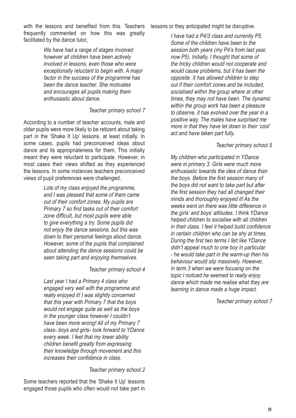with the lessons and benefited from this. Teachers frequently commented on how this was greatly facilitated by the dance tutor,

> We have had a range of stages involved however all children have been actively involved in lessons, even those who were exceptionally reluctant to begin with. A major factor in the success of the programme has been the dance teacher. She motivates and encourages all pupils making them enthusiastic about dance.

#### Teacher primary school 7

According to a number of teacher accounts, male and older pupils were more likely to be reticent about taking part in the 'Shake It Up' lessons, at least initially. In some cases, pupils had preconceived ideas about dance and its appropriateness for them, This initially meant they were reluctant to participate. However, in most cases their views shifted as they experienced the lessons. In some instances teachers preconceived views of pupil preferences were challenged.

> Lots of my class enjoyed the programme, and I was pleased that some of them came out of their comfort zones. My pupils are Primary 7 so find tasks out of their comfort zone difficult, but most pupils were able to give everything a try. Some pupils did not enjoy the dance sessions, but this was down to their personal feelings about dance. However, some of the pupils that complained about attending the dance sessions could be seen taking part and enjoying themselves.

#### Teacher primary school 4

Last year I had a Primary 4 class who engaged very well with the programme and really enjoyed it! I was slightly concerned that this year with Primary 7 that the boys would not engage quite as well as the boys in the younger class however I couldn't have been more wrong! All of my Primary 7 class- boys and girls- look forward to YDance every week. I feel that my lower ability children benefit greatly from expressing their knowledge through movement and this increases their confidence in class.

#### Teacher primary school 2

Some teachers reported that the 'Shake It Up' lessons engaged those pupils who often would not take part in lessons or they anticipated might be disruptive.

I have had a P4/3 class and currently P5. Some of the children have been to the session both years (my P4's from last year, now P5). Initially, I thought that some of the tricky children would not cooperate and would cause problems, but it has been the opposite. It has allowed children to step out if their comfort zones and be included, socialised within the group where at other times, they may not have been. The dynamic within the group work has been a pleasure to observe, it has evolved over the year in a positive way. The males have surprised me more in that they have let down to their 'cool' act and have taken part fully.

#### Teacher primary school 5

My children who participated in YDance were in primary 3. Girls were much more enthusiastic towards the idea of dance than the boys. Before the first session many of the boys did not want to take part but after the first session they had all changed their minds and thoroughly enjoyed it! As the weeks went on there was little difference in the girls' and boys' attitudes. I think YDance helped children to socialise with all children in their class. I feel it helped build confidence in certain children who can be shy at times. During the first two terms I felt like YDance didn't appeal much to one boy in particular - he would take part in the warm-up then his behaviour would slip massively. However, in term 3 when we were focusing on the topic I noticed he seemed to really enjoy dance which made me realise what they are learning in dance made a huge impact.

Teacher primary school 7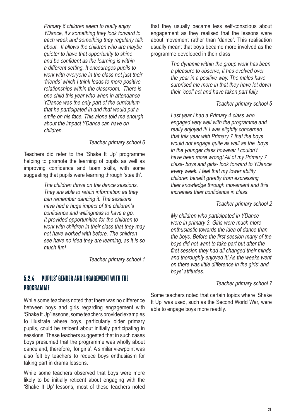Primary 6 children seem to really enjoy YDance, it's something they look forward to each week and something they regularly talk about. It allows the children who are maybe quieter to have that opportunity to shine and be confident as the learning is within a different setting. It encourages pupils to work with everyone in the class not just their 'friends' which I think leads to more positive relationships within the classroom. There is one child this year who when in attendance YDance was the only part of the curriculum that he participated in and that would put a smile on his face. This alone told me enough about the impact YDance can have on children.

#### Teacher primary school 6

Teachers did refer to the 'Shake It Up' programme helping to promote the learning of pupils as well as improving confidence and team skills, with some suggesting that pupils were learning through 'stealth'.

> The children thrive on the dance sessions. They are able to retain information as they can remember dancing it. The sessions have had a huge impact of the children's confidence and willingness to have a go. It provided opportunities for the children to work with children in their class that they may not have worked with before. The children see have no idea they are learning, as it is so much fun!

> > Teacher primary school 1

#### 5.2.4 PUPILS' GENDER AND ENGAGEMENT WITH THE PROGRAMME

While some teachers noted that there was no difference between boys and girls regarding engagement with 'Shake It Up' lessons, some teachers provided examples to illustrate where boys, particularly older primary pupils, could be reticent about initially participating in sessions. These teachers suggested that in such cases boys presumed that the programme was wholly about dance and, therefore, 'for girls'. A similar viewpoint was also felt by teachers to reduce boys enthusiasm for taking part in drama lessons.

While some teachers observed that boys were more likely to be initially reticent about engaging with the 'Shake It Up' lessons, most of these teachers noted that they usually became less self-conscious about engagement as they realised that the lessons were about movement rather than 'dance'. This realisation usually meant that boys became more involved as the programme developed in their class.

> The dynamic within the group work has been a pleasure to observe, it has evolved over the year in a positive way. The males have surprised me more in that they have let down their 'cool' act and have taken part fully.

#### Teacher primary school 5

Last year I had a Primary 4 class who engaged very well with the programme and really enjoyed it! I was slightly concerned that this year with Primary 7 that the boys would not engage quite as well as the boys in the younger class however I couldn't have been more wrong! All of my Primary 7 class- boys and girls- look forward to YDance every week. I feel that my lower ability children benefit greatly from expressing their knowledge through movement and this increases their confidence in class.

#### Teacher primary school 2

My children who participated in YDance were in primary 3. Girls were much more enthusiastic towards the idea of dance than the boys. Before the first session many of the boys did not want to take part but after the first session they had all changed their minds and thoroughly enjoyed it! As the weeks went on there was little difference in the girls' and boys' attitudes.

#### Teacher primary school 7

Some teachers noted that certain topics where 'Shake It Up' was used, such as the Second World War, were able to engage boys more readily.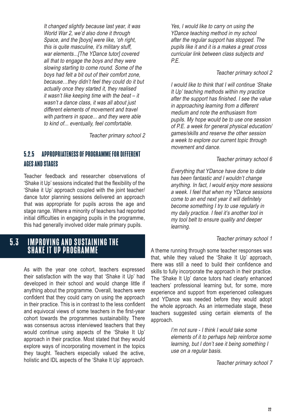<span id="page-21-0"></span>It changed slightly because last year, it was World War 2, we'd also done it through Space, and the [boys] were like, 'oh right, this is quite masculine, it's military stuff, war elements...[The YDance tutor] covered all that to engage the boys and they were slowing starting to come round. Some of the boys had felt a bit out of their comfort zone, because…they didn't feel they could do it but actually once they started it, they realised it wasn't like keeping time with the beat – it wasn't a dance class, it was all about just different elements of movement and travel with partners in space... and they were able to kind of... eventually, feel comfortable.

Teacher primary school 2

### 5.2.5 APPROPRIATENESS OF PROGRAMME FOR DIFFERENT AGES AND STAGES

Teacher feedback and researcher observations of 'Shake it Up' sessions indicated that the flexibility of the 'Shake it Up' approach coupled with the joint teacher/ dance tutor planning sessions delivered an approach that was appropriate for pupils across the age and stage range. Where a minority of teachers had reported initial difficulties in engaging pupils in the programme, this had generally involved older male primary pupils.

## 5.3 IMPROVING AND SUSTAINING THE SHAKE IT UP PROGRAMME

As with the year one cohort, teachers expressed their satisfaction with the way that 'Shake it Up' had developed in their school and would change little if anything about the programme. Overall, teachers were confident that they could carry on using the approach in their practice. This is in contrast to the less confident and equivocal views of some teachers in the first-year cohort towards the programmes sustainability. There was consensus across interviewed teachers that they would continue using aspects of the 'Shake It Up' approach in their practice. Most stated that they would explore ways of incorporating movement in the topics they taught. Teachers especially valued the active, holistic and IDL aspects of the 'Shake It Up' approach.

Yes, I would like to carry on using the YDance teaching method in my school after the regular support has stopped. The pupils like it and it is a makes a great cross curricular link between class subjects and P.E.

#### Teacher primary school 2

I would like to think that I will continue 'Shake It Up' teaching methods within my practice after the support has finished. I see the value in approaching learning from a different medium and note the enthusiasm from pupils. My hope would be to use one session of P.E. a week for general physical education/ games/skills and reserve the other session a week to explore our current topic through movement and dance.

#### Teacher primary school 6

Everything that YDance have done to date has been fantastic and I wouldn't change anything. In fact, I would enjoy more sessions a week. I feel that when my YDance sessions come to an end next year it will definitely become something I try to use regularly in my daily practice. I feel it's another tool in my tool belt to ensure quality and deeper learning.

#### Teacher primary school 1

A theme running through some teacher responses was that, while they valued the 'Shake It Up' approach, there was still a need to build their confidence and skills to fully incorporate the approach in their practice. The 'Shake It Up' dance tutors had clearly enhanced teachers' professional learning but, for some, more experience and support from experienced colleagues and YDance was needed before they would adopt the whole approach. As an intermediate stage, these teachers suggested using certain elements of the approach.

> I'm not sure - I think I would take some elements of it to perhaps help reinforce some learning, but I don't see it being something I use on a regular basis.

> > Teacher primary school 7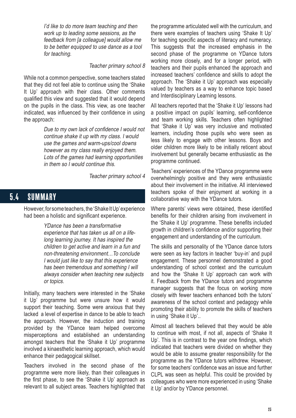<span id="page-22-0"></span>I'd like to do more team teaching and then work up to leading some sessions, as the feedback from [a colleague] would allow me to be better equipped to use dance as a tool for teaching.

#### Teacher primary school 8

While not a common perspective, some teachers stated that they did not feel able to continue using the 'Shake It Up' approach with their class. Other comments qualified this view and suggested that it would depend on the pupils in the class. This view, as one teacher indicated, was influenced by their confidence in using the approach:

> Due to my own lack of confidence I would not continue shake it up with my class. I would use the games and warm-ups/cool downs however as my class really enjoyed them. Lots of the games had learning opportunities in them so I would continue this.

> > Teacher primary school 4

## 5.4 SUMMARY

However, for some teachers, the 'Shake It Up' experience had been a holistic and significant experience.

> YDance has been a transformative experience that has taken us all on a lifelong learning journey. It has inspired the children to get active and learn in a fun and non-threatening environment…To conclude I would just like to say that this experience has been tremendous and something I will always consider when teaching new subjects or topics.

Initially, many teachers were interested in the 'Shake it Up' programme but were unsure how it would support their teaching. Some were anxious that they lacked a level of expertise in dance to be able to teach the approach. However, the induction and training provided by the YDance team helped overcome misperceptions and established an understanding amongst teachers that the 'Shake it Up' programme involved a kinaesthetic learning approach, which would enhance their pedagogical skillset.

Teachers involved in the second phase of the programme were more likely, than their colleagues in the first phase, to see the 'Shake it Up' approach as relevant to all subject areas. Teachers highlighted that the programme articulated well with the curriculum, and there were examples of teachers using 'Shake It Up' for teaching specific aspects of literacy and numeracy. This suggests that the increased emphasis in the second phase of the programme on YDance tutors working more closely, and for a longer period, with teachers and their pupils enhanced the approach and increased teachers' confidence and skills to adopt the approach. The 'Shake it Up' approach was especially valued by teachers as a way to enhance topic based and Interdisciplinary Learning lessons.

All teachers reported that the 'Shake it Up' lessons had a positive impact on pupils' learning, self-confidence and team working skills. Teachers often highlighted that 'Shake it Up' was very inclusive and motivated learners, including those pupils who were seen as less likely to engage with other lessons. Boys and older children more likely to be initially reticent about involvement but generally became enthusiastic as the programme continued.

Teachers' experiences of the YDance programme were overwhelmingly positive and they were enthusiastic about their involvement in the initiative. All interviewed teachers spoke of their enjoyment at working in a collaborative way with the YDance tutors.

Where parents' views were obtained, these identified benefits for their children arising from involvement in the 'Shake it Up' programme. These benefits included growth in children's confidence and/or supporting their engagement and understanding of the curriculum.

The skills and personality of the YDance dance tutors were seen as key factors in teacher 'buy-in' and pupil engagement. These personnel demonstrated a good understanding of school context and the curriculum and how the 'Shake It Up' approach can work with it. Feedback from the YDance tutors and programme manager suggests that the focus on working more closely with fewer teachers enhanced both the tutors' awareness of the school context and pedagogy while promoting their ability to promote the skills of teachers in using 'Shake it Up'..

Almost all teachers believed that they would be able to continue with most, if not all, aspects of 'Shake It Up'. This is in contrast to the year one findings, which indicated that teachers were divided on whether they would be able to assume greater responsibility for the programme as the YDance tutors withdrew. However, for some teachers' confidence was an issue and further CLPL was seen as helpful. This could be provided by colleagues who were more experienced in using 'Shake it Up' and/or by YDance personnel.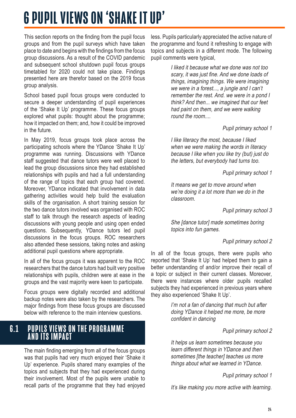## <span id="page-23-0"></span>6 PUPIL VIEWS ON 'SHAKE IT UP'

This section reports on the finding from the pupil focus groups and from the pupil surveys which have taken place to date and begins with the findings from the focus group discussions. As a result of the COVID pandemic and subsequent school shutdown pupil focus groups timetabled for 2020 could not take place. Findings presented here are therefor based on the 2019 focus group analysis.

School based pupil focus groups were conducted to secure a deeper understanding of pupil experiences of the 'Shake It Up' programme. These focus groups explored what pupils: thought about the programme; how it impacted on them; and, how it could be improved in the future.

In May 2019, focus groups took place across the participating schools where the YDance 'Shake It Up' programme was running. Discussions with YDance staff suggested that dance tutors were well placed to lead the group discussions since they had established relationships with pupils and had a full understanding of the range of topics that each group had covered. Moreover, YDance indicated that involvement in data gathering activities would help build the evaluation skills of the organisation. A short training session for the two dance tutors involved was organised with ROC staff to talk through the research aspects of leading discussions with young people and using open ended questions. Subsequently, YDance tutors led pupil discussions in the focus groups. ROC researchers also attended these sessions, taking notes and asking additional pupil questions where appropriate.

In all of the focus groups it was apparent to the ROC researchers that the dance tutors had built very positive relationships with pupils, children were at ease in the groups and the vast majority were keen to participate.

Focus groups were digitally recorded and additional backup notes were also taken by the researchers. The major findings from these focus groups are discussed below with reference to the main interview questions.

## 6.1 PUPILS VIEWS ON THE PROGRAMME AND ITS IMPACT

The main finding emerging from all of the focus groups was that pupils had very much enjoyed their 'Shake it Up' experience. Pupils shared many examples of the topics and subjects that they had experienced during their involvement. Most of the pupils were unable to recall parts of the programme that they had enjoyed

less. Pupils particularly appreciated the active nature of the programme and found it refreshing to engage with topics and subjects in a different mode. The following pupil comments were typical,

> I liked it because what we done was not too scary, it was just fine. And we done loads of things, imagining things. We were imagining we were in a forest..., a jungle and I can't remember the rest. And. we were in a pond I think? And then... we imagined that our feet had paint on them, and we were walking round the room....

#### Pupil primary school 1

I like literacy the most, because I liked when we were making the words in literacy because I like when you like try (but) just do the letters, but everybody had turns too.

Pupil primary school 1

It means we get to move around when we're doing it a lot more than we do in the classroom.

Pupil primary school 3

She [dance tutor] made sometimes boring topics into fun games.

#### Pupil primary school 2

In all of the focus groups, there were pupils who reported that 'Shake It Up' had helped them to gain a better understanding of and/or improve their recall of a topic or subject in their current classes. Moreover, there were instances where older pupils recalled subjects they had experienced in previous years where they also experienced 'Shake It Up'.

> I'm not a fan of dancing that much but after doing YDance it helped me more, be more confident in dancing

> > Pupil primary school 2

It helps us learn sometimes because you learn different things in YDance and then sometimes [the teacher] teaches us more things about what we learned in YDance.

Pupil primary school 1

It's like making you more active with learning.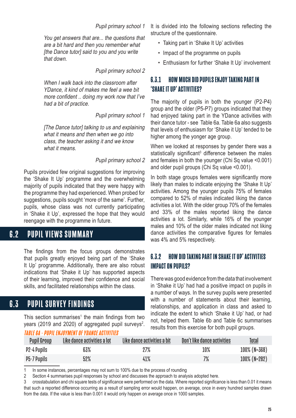#### Pupil primary school 1

<span id="page-24-0"></span>You get answers that are... the questions that are a bit hard and then you remember what [the Dance tutor] said to you and you write that down.

Pupil primary school 2

When I walk back into the classroom after YDance, it kind of makes me feel a wee bit more confident .. doing my work now that I've had a bit of practice.

Pupil primary school 1

[The Dance tutor] talking to us and explaining what it means and then when we go into class, the teacher asking it and we know what it means

#### Pupil primary school 2

Pupils provided few original suggestions for improving the 'Shake It Up' programme and the overwhelming majority of pupils indicated that they were happy with the programme they had experienced. When probed for suggestions, pupils sought 'more of the same'. Further, pupils, whose class was not currently participating in 'Shake it Up', expressed the hope that they would reengage with the programme in future.

## **6.2 PUPIL VIEWS SUMMARY**

The findings from the focus groups demonstrates that pupils greatly enjoyed being part of the 'Shake It Up' programme. Additionally, there are also robust indications that 'Shake it Up' has supported aspects of their learning, improved their confidence and social skills, and facilitated relationships within the class.

## 6.3 PUPIL SURVEY FINDINGS

This section summarises<sup>1</sup> the main findings from two years (2019 and 2020) of aggregated pupil surveys<sup>2</sup>.

#### TABLE 6A - PUPIL ENJOYMENT OF YDANCE ACTIVITIES

It is divided into the following sections reflecting the structure of the questionnaire.

- Taking part in 'Shake It Up' activities
- Impact of the programme on pupils
- Enthusiasm for further 'Shake It Up' involvement

### 6.3.1 HOW MUCH DID PUPILS ENJOY TAKING PART IN 'SHAKE IT UP' ACTIVITIES?

The majority of pupils in both the younger (P2-P4) group and the older (P5-P7) groups indicated that they had enjoyed taking part in the YDance activities with their dance tutor - see Table 6a. Table 6a also suggests that levels of enthusiasm for 'Shake it Up' tended to be higher among the yonger age group.

When we looked at responses by gender there was a statistically significant<sup>3</sup> difference between the males and females in both the younger (Chi Sq value <0.001) and older pupil groups (Chi Sq value <0.001).

In both stage groups females were significantly more likely than males to indicate enjoying the 'Shake It Up' activities. Among the younger pupils 75% of females compared to 52% of males indicated liking the dance activities a lot. With the older group 70% of the females and 33% of the males reported liking the dance activities a lot. Similarly, while 16% of the younger males and 10% of the older males indicated not liking dance activities the comparative figures for females was 4% and 5% respectively.

### 6.3.2 HOW DID TAKING PART IN SHAKE IT UP' ACTIVITIES IMPACT ON PUPILS?

There was good evidence from the data that involvement in 'Shake it Up' had had a positive impact on pupils in a number of ways. In the survey pupils were presented with a number of statements about their learning. relationships, and application in class and asked to indicate the extent to which 'Shake it Up' had, or had not, helped them. Table 6b and Table 6c summarises results from this exercise for both pupil groups.

| <b>Pupil Group</b> | Like dance activities a lot | Like dance activities a bit | Don't like dance activities | <u>Total</u>    |
|--------------------|-----------------------------|-----------------------------|-----------------------------|-----------------|
| P2-4 Pupils        | 63%                         | 27%                         | 10%                         | $100\%$ (N=368) |
| P5-7 Pupils        | 52%                         | 41%                         | 7%                          | $100\%$ (N=282) |

1 In some instances, percentages may not sum to 100% due to the process of rounding

2 Section 4 summarises pupil responses by school and discusses the approach to analysis adopted here.

3    crosstabulation and chi square tests of significance were performed on the data. Where reported significance is less than 0.01 it means that such a reported difference occurring as a result of sampling error would happen, on average, once in every hundred samples drawn from the data. If the value is less than 0.001 it would only happen on average once in 1000 samples.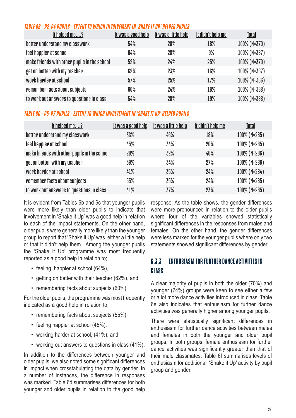#### TABLE 6B - P2-P4 PUPILS - EX TENT TO WHICH INVOLVEMENT IN 'SHAKE IT UP' HELPED PUPILS

| It helped me?                                | <u>It was a good help</u> | It was a little help | <u>It didn't help me</u> | Total           |
|----------------------------------------------|---------------------------|----------------------|--------------------------|-----------------|
| better understand my classwork               | 54%                       | 28%                  | 18%                      | $100\%$ (N=370) |
| feel happier at school                       | 64%                       | 28%                  | 9%                       | 100% (N=367)    |
| make friends with other pupils in the school | 52%                       | 24%                  | 25%                      | $100\%$ (N=370) |
| get on better with my teacher                | 62%                       | 23%                  | 16%                      | 100% (N=367)    |
| work harder at school                        | 57%                       | 25%                  | 17%                      | $100\%$ (N=366) |
| remember facts about subjects                | 60%                       | 24%                  | 16%                      | 100% (N=368)    |
| to work out answers to questions in class    | 54%                       | 28%                  | 19%                      | $100\%$ (N=368) |

#### TABLE 6C - P5-P7 PUPILS - EXTENT TO WHICH INVOLVEMENT IN 'SHAKE IT UP' HELPED PUPILS

| <u>It helped me?</u>                         | <u>It was a good help</u> | <u>It was a little help</u> | <u>It didn't help me</u> | Total           |
|----------------------------------------------|---------------------------|-----------------------------|--------------------------|-----------------|
| better understand my classwork               | 36%                       | 46%                         | 18%                      | 100% (N=285)    |
| feel happier at school                       | 45%                       | 34%                         | 20%                      | 100% (N=285)    |
| make friends with other pupils in the school | 28%                       | 32%                         | 40%                      | 100% (N=286)    |
| get on better with my teacher                | 39%                       | 34%                         | 27%                      | $100\%$ (N=286) |
| work harder at school                        | 41%                       | 35%                         | 24%                      | 100% (N=284)    |
| remember facts about subjects                | 55%                       | 35%                         | 24%                      | 100% (N=285)    |
| to work out answers to questions in class    | 41%                       | 37%                         | 23%                      | 100% (N=285)    |

It is evident from Tables 6b and 6c that younger pupils were more likely than older pupils to indicate that involvement in 'Shake it Up' was a good help in relation to each of the impact statements. On the other hand, older pupils were generally more likely than the younger group to report that 'Shake it Up' was either a little help or that it didn't help them. Among the younger pupils the 'Shake it Up' programme was most frequently reported as a good help in relation to;

- feeling happier at school (64%),
- getting on better with their teacher (62%), and
- remembering facts about subjects (60%).

For the older pupils, the programme was most frequently indicated as a good help in relation to;

- remembering facts about subjects (55%),
- feeling happier at school (45%),
- working harder at school, (41%), and
- working out answers to questions in class (41%).

In addition to the differences between younger and older pupils, we also noted some significant differences in impact when crosstabulating the data by gender. In a number of instances, the difference in responses was marked. Table 6d summarises differences for both younger and older pupils in relation to the good help response. As the table shows, the gender differences were more pronounced in relation to the older pupils where four of the variables showed statistically significant differences in the responses from males and females. On the other hand, the gender differences were less marked for the younger pupils where only two statements showed significant differences by gender.

## 6.3.3 ENTHUSIASM FOR FURTHER DANCE ACTIVITIES IN **CLASS**

A clear majority of pupils in both the older (70%) and younger (74%) groups were keen to see either a few or a lot more dance activities introduced in class. Table 6e also indicates that enthusiasm for further dance activities was generally higher among younger pupils.

There were statistically significant differences in enthusiasm for further dance activities between males and females in both the younger and older pupil groups. In both groups, female enthusiasm for further dance activities was significantly greater than that of their male classmates. Table 6f summarises levels of enthusiasm for additional 'Shake it Up' activity by pupil group and gender.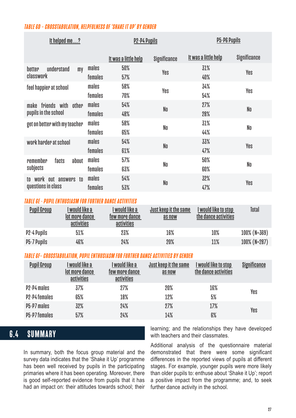#### <span id="page-26-0"></span>TABLE 6D – CROSSTABULATION, HELPFULNESS OF 'SHAKE IT UP' BY GENDER

| <u>It helped me?</u>                                  |                  | <b>P2-P4 Pupils</b>         |                | <b>P5-P6 Pupils</b>         |              |
|-------------------------------------------------------|------------------|-----------------------------|----------------|-----------------------------|--------------|
|                                                       |                  | <u>It was a little help</u> | Significance   | <u>It was a little help</u> | Significance |
| understand<br>better<br>my<br>classwork               | males<br>females | 50%<br>57%                  | Yes            | 31%<br>40%                  | Yes          |
| feel happier at school                                | males<br>females | 58%<br>70%                  | Yes            | 34%<br>54%                  | Yes          |
| friends with other<br>make                            | males            | 54%                         | N <sub>0</sub> | 27%                         | No           |
| pupils in the school<br>get on better with my teacher | females<br>males | 48%<br>58%                  | No             | 28%<br>31%                  | No           |
| work harder at school                                 | females<br>males | 65%<br>54%                  |                | 44%<br>33%                  |              |
|                                                       | females          | 61%                         | N <sub>0</sub> | 47%                         | Yes          |
| remember<br>facts<br>about<br>subjects                | males<br>females | 57%<br>63%                  | No             | 50%<br>60%                  | No           |
| work out answers to<br>tn.<br>questions in class      | males<br>females | 54%<br>53%                  | N <sub>0</sub> | 32%<br>47%                  | Yes          |

#### TABLE 6E - PUPIL ENTHUSIASM FOR FURTHER DANCE ACTIVITIES

| <b>Pupil Group</b> | I would like a<br>lot more dance<br>activities | I would like a<br>few more dance<br>activities | Just keep it the same<br>as now | I would like to stop<br>the dance activities | Total           |
|--------------------|------------------------------------------------|------------------------------------------------|---------------------------------|----------------------------------------------|-----------------|
| <b>P2-4 Pupils</b> | 51%                                            | 23%                                            | 16%                             | 10%                                          | $100\%$ (N=369) |
| <b>P5-7 Pupils</b> | 46%                                            | 24%                                            | 20%                             | 11%                                          | $100\%$ (N=287) |

#### TABLE 6F– CROSSTABULATION, PUPIL ENTHUSIASM FOR FURTHER DANCE ACTIVITIES BY GENDER

| <b>Pupil Group</b> | l would like a<br>lot more dance<br>activities | l would like a<br>few more dance<br>activities | Just keep it the same<br>as now | <u>I would like to stop</u><br>the dance activities | <b>Significance</b> |
|--------------------|------------------------------------------------|------------------------------------------------|---------------------------------|-----------------------------------------------------|---------------------|
| P2-P4 males        | 37%                                            | 27%                                            | 20%                             | 16%                                                 | Yes                 |
| P2-P4 females      | 65%                                            | 18%                                            | 12%                             | 5%                                                  |                     |
| P5-P7 males        | 32%                                            | 24%                                            | 27%                             | 17%                                                 | Yes                 |
| P5-P7 females      | 57%                                            | 24%                                            | 14%                             | 6%                                                  |                     |

## 6.4 SUMMARY

In summary, both the focus group material and the survey data indicates that the 'Shake it Up' programme has been well received by pupils in the participating primaries where it has been operating. Moreover, there is good self-reported evidence from pupils that it has had an impact on: their attitudes towards school; their learning; and the relationships they have developed with teachers and their classmates.

Additional analysis of the questionnaire material demonstrated that there were some significant differences in the reported views of pupils at different stages. For example, younger pupils were more likely than older pupils to: enthuse about 'Shake it Up'; report a positive impact from the programme; and, to seek further dance activity in the school.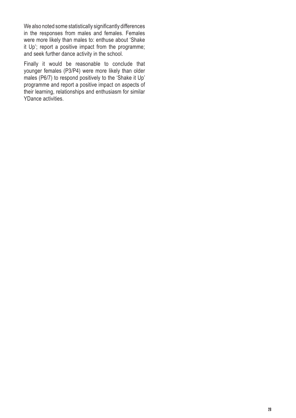We also noted some statistically significantly differences in the responses from males and females. Females were more likely than males to: enthuse about 'Shake it Up'; report a positive impact from the programme; and seek further dance activity in the school.

Finally it would be reasonable to conclude that younger females (P3/P4) were more likely than older males (P6/7) to respond positively to the 'Shake it Up' programme and report a positive impact on aspects of their learning, relationships and enthusiasm for similar YDance activities.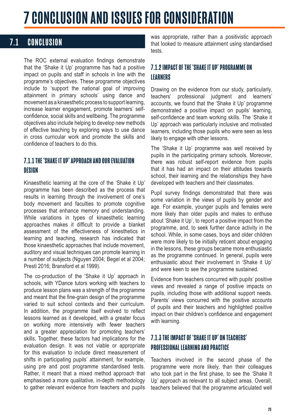## <span id="page-28-0"></span>7 CONCLUSION AND ISSUES FOR CONSIDERATION

## 7.1 CONCLUSION

The ROC external evaluation findings demonstrate that the 'Shake it Up' programme has had a positive impact on pupils and staff in schools in line with the programme's objectives. These programme objectives include to 'support the national goal of improving attainment in primary schools' using dance and movement as a kinaesthetic process to support learning, increase learner engagement, promote learners' selfconfidence, social skills and wellbeing. The programme objectives also include helping to develop new methods of effective teaching by exploring ways to use dance in cross curricular work and promote the skills and confidence of teachers to do this.

### 7.1.1 THE 'SHAKE IT UP' APPROACH AND OUR EVALUATION DESIGN

Kinaesthetic learning at the core of the 'Shake it Up' programme has been described as the process that results in learning through the involvement of one's body movement and faculties to promote cognitive processes that enhance memory and understanding. While variations in types of kinaesthetic learning approaches makes it difficult to provide a blanket assessment of the effectiveness of kinesthetics in learning and teaching, research has indicated that those kinaesthetic approaches that include movement, auditory and visual techniques can promote learning in a number of subjects (Nguyen 2004; Begel et al 2004; Presti 2016; Bransford et al 1999).

The co-production of the 'Shake it Up' approach in schools, with YDance tutors working with teachers to produce lesson plans was a strength of the programme and meant that the fine-grain design of the programme varied to suit school contexts and their curriculum. In addition, the programme itself evolved to reflect lessons learned as it developed, with a greater focus on working more intensively with fewer teachers and a greater appreciation for promoting teachers' skills. Together, these factors had implications for the evaluation design. It was not viable or appropriate for this evaluation to include direct measurement of shifts in participating pupils' attainment, for example, using pre and post programme standardised tests. Rather, it meant that a mixed method approach that emphasised a more qualitative, in-depth methodology to gather relevant evidence from teachers and pupils

was appropriate, rather than a positivistic approach that looked to measure attainment using standardised tests.

### 7.1.2 IMPACT OF THE 'SHAKE IT UP' PROGRAMME ON **LEARNERS**

Drawing on the evidence from our study, particularly, teachers' professional judgment and learners' accounts, we found that the 'Shake it Up' programme demonstrated a positive impact on pupils' learning, self-confidence and team working skills. The 'Shake it Up' approach was particularly inclusive and motivated learners, including those pupils who were seen as less likely to engage with other lessons.

The 'Shake it Up' programme was well received by pupils in the participating primary schools. Moreover, there was robust self-report evidence from pupils that it has had an impact on their attitudes towards school, their learning and the relationships they have developed with teachers and their classmates.

Pupil survey findings demonstrated that there was some variation in the views of pupils by gender and age. For example, younger pupils and females were more likely than older pupils and males to enthuse about 'Shake it Up', to report a positive impact from the programme, and, to seek further dance activity in the school. While, in some cases, boys and older children were more likely to be initially reticent about engaging in the lessons, these groups became more enthusiastic as the programme continued. In general, pupils were enthusiastic about their involvement in 'Shake it Up' and were keen to see the programme sustained.

Evidence from teachers concurred with pupils' positive views and revealed a range of positive impacts on pupils, including those with additional support needs. Parents' views concurred with the positive accounts of pupils and their teachers and highlighted positive impact on their children's confidence and engagement with learning.

## 7.1.3 THE IMPACT OF 'SHAKE IT UP' ON TEACHERS' PROFESSIONAL LEARNING AND PRACTICE

Teachers involved in the second phase of the programme were more likely, than their colleagues who took part in the first phase, to see the 'Shake It Up' approach as relevant to all subject areas. Overall, teachers believed that the programme articulated well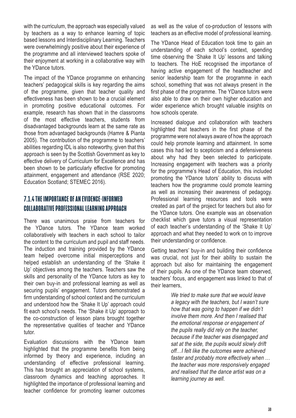with the curriculum, the approach was especially valued by teachers as a way to enhance learning of topic based lessons and Interdisciplinary Learning. Teachers were overwhelmingly positive about their experience of the programme and all interviewed teachers spoke of their enjoyment at working in a collaborative way with the YDance tutors.

The impact of the YDance programme on enhancing teachers' pedagogical skills is key regarding the aims of the programme, given that teacher quality and effectiveness has been shown to be a crucial element in promoting positive educational outcomes. For example, research has shown that in the classrooms of the most effective teachers, students from disadvantaged backgrounds learn at the same rate as those from advantaged backgrounds (Hamre & Pianta 2005). The contribution of the programme to teachers' abilities regarding IDL is also noteworthy, given that this approach is seen by the Scottish Government as key to effective delivery of Curriculum for Excellence and has been shown to be particularly effective for promoting attainment, engagement and attendance (RSE 2020; Education Scotland; STEMEC 2016).

## 7.1.4 THE IMPORTANCE OF AN EVIDENCE-INFORMED COLLABORATIVE PROFESSIONAL LEARNING APPROACH

There was unanimous praise from teachers for the YDance tutors. The YDance team worked collaboratively with teachers in each school to tailor the content to the curriculum and pupil and staff needs. The induction and training provided by the YDance team helped overcome initial misperceptions and helped establish an understanding of the 'Shake it Up' objectives among the teachers. Teachers saw the skills and personality of the YDance tutors as key to their own buy-in and professional learning as well as securing pupils' engagement. Tutors demonstrated a firm understanding of school context and the curriculum and understood how the 'Shake It Up' approach could fit each school's needs. The 'Shake it Up' approach to the co-construction of lesson plans brought together the representative qualities of teacher and YDance tutor.

Evaluation discussions with the YDance team highlighted that the programme benefits from being informed by theory and experience, including an understanding of effective professional learning. This has brought an appreciation of school systems, classroom dynamics and teaching approaches. It highlighted the importance of professional learning and teacher confidence for promoting learner outcomes as well as the value of co-production of lessons with teachers as an effective model of professional learning.

The YDance Head of Education took time to gain an understanding of each school's context, spending time observing the 'Shake It Up' lessons and talking to teachers. The HoE recognised the importance of having active engagement of the headteacher and senior leadership team for the programme in each school, something that was not always present in the first phase of the programme. The YDance tutors were also able to draw on their own higher education and wider experience which brought valuable insights on how schools operate.

Increased dialogue and collaboration with teachers highlighted that teachers in the first phase of the programme were not always aware of how the approach could help promote learning and attainment. In some cases this had led to scepticism and a defensiveness about why had they been selected to participate. Increasing engagement with teachers was a priority for the programme's Head of Education, this included promoting the YDance tutors' ability to discuss with teachers how the programme could promote learning as well as increasing their awareness of pedagogy. Professional learning resources and tools were created as part of the project for teachers but also for the YDance tutors. One example was an observation checklist which gave tutors a visual representation of each teacher's understanding of the 'Shake It Up' approach and what they needed to work on to improve their understanding or confidence.

Getting teachers' buy-in and building their confidence was crucial, not just for their ability to sustain the approach but also for maintaining the engagement of their pupils. As one of the YDance team observed, teachers' focus, and engagement was linked to that of their learners,

> We tried to make sure that we would leave a legacy with the teachers, but I wasn't sure how that was going to happen if we didn't involve them more. And then I realised that the emotional response or engagement of the pupils really did rely on the teacher, because if the teacher was disengaged and sat at the side, the pupils would slowly drift off…I felt like the outcomes were achieved faster and probably more effectively when … the teacher was more responsively engaged and realised that the dance artist was on a learning journey as well.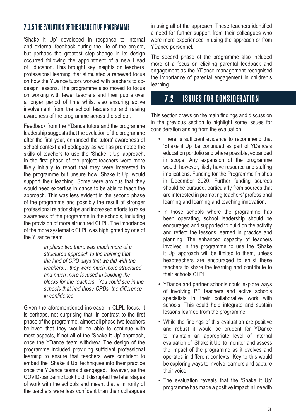#### <span id="page-30-0"></span>7.1.5 THE EVOLUTION OF THE SHAKE IT UP PROGRAMME

'Shake it Up' developed in response to internal and external feedback during the life of the project, but perhaps the greatest step-change in its design occurred following the appointment of a new Head of Education. This brought key insights on teachers' professional learning that stimulated a renewed focus on how the YDance tutors worked with teachers to codesign lessons. The programme also moved to focus on working with fewer teachers and their pupils over a longer period of time whilst also ensuring active involvement from the school leadership and raising awareness of the programme across the school.

Feedback from the YDance tutors and the programme leadership suggests that the evolution of the programme after the first year, enhanced the tutors' awareness of school context and pedagogy as well as promoted the skills of teachers to use the 'Shake it Up' approach. In the first phase of the project teachers were more likely initially to report that they were interested in the programme but unsure how 'Shake it Up' would support their teaching. Some were anxious that they would need expertise in dance to be able to teach the approach. This was less evident in the second phase of the programme and possibly the result of stronger professional relationships and increased efforts to raise awareness of the programme in the schools, including the provision of more structured CLPL. The importance of the more systematic CLPL was highlighted by one of the YDance team,

> In phase two there was much more of a structured approach to the training that the kind of CPD days that we did with the teachers… they were much more structured and much more focused in building the blocks for the teachers. You could see in the schools that had those CPDs, the difference in confidence.

Given the aforementioned increase in CLPL focus, it is perhaps, not surprising that, in contrast to the first phase of the programme, almost all phase two teachers believed that they would be able to continue with most aspects, if not all of the 'Shake It Up' approach, once the YDance team withdrew. The design of the programme included providing sufficient professional learning to ensure that teachers were confident to embed the 'Shake it Up' techniques into their practice once the YDance teams disengaged. However, as the COVID-pandemic took hold it disrupted the later stages of work with the schools and meant that a minority of the teachers were less confident than their colleagues

in using all of the approach. These teachers identified a need for further support from their colleagues who were more experienced in using the approach or from YDance personnel.

The second phase of the programme also included more of a focus on eliciting parental feedback and engagement as the YDance management recognised the importance of parental engagement in children's learning.

## 7.2 ISSUES FOR CONSIDERATION

This section draws on the main findings and discussion in the previous section to highlight some issues for consideration arising from the evaluation.

- There is sufficient evidence to recommend that 'Shake it Up' be continued as part of YDance's education portfolio and where possible, expanded in scope. Any expansion of the programme would, however, likely have resource and staffing implications. Funding for the Programme finishes in December 2020. Further funding sources should be pursued, particularly from sources that are interested in promoting teachers' professional learning and learning and teaching innovation.
- In those schools where the programme has been operating, school leadership should be encouraged and supported to build on the activity and reflect the lessons learned in practice and planning. The enhanced capacity of teachers involved in the programme to use the 'Shake it Up' approach will be limited to them, unless headteachers are encouraged to enlist these teachers to share the learning and contribute to their schools CLPL.
- YDance and partner schools could explore ways of involving PE teachers and active schools specialists in their collaborative work with schools. This could help integrate and sustain lessons learned from the programme.
- While the findings of this evaluation are positive and robust it would be prudent for YDance to maintain an appropriate level of internal evaluation of 'Shake it Up' to monitor and assess the impact of the programme as it evolves and operates in different contexts. Key to this would be exploring ways to involve learners and capture their voice.
- The evaluation reveals that the 'Shake it Up' programme has made a positive impact in line with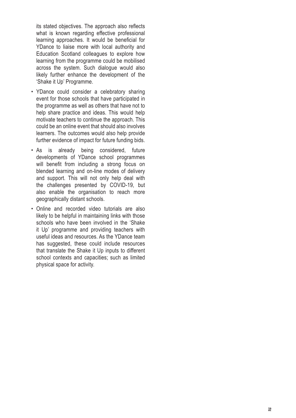its stated objectives. The approach also reflects what is known regarding effective professional learning approaches. It would be beneficial for YDance to liaise more with local authority and Education Scotland colleagues to explore how learning from the programme could be mobilised across the system. Such dialogue would also likely further enhance the development of the 'Shake it Up' Programme.

- YDance could consider a celebratory sharing event for those schools that have participated in the programme as well as others that have not to help share practice and ideas. This would help motivate teachers to continue the approach. This could be an online event that should also involves learners. The outcomes would also help provide further evidence of impact for future funding bids.
- As is already being considered, future developments of YDance school programmes will benefit from including a strong focus on blended learning and on-line modes of delivery and support. This will not only help deal with the challenges presented by COVID-19, but also enable the organisation to reach more geographically distant schools.
- Online and recorded video tutorials are also likely to be helpful in maintaining links with those schools who have been involved in the 'Shake it Up' programme and providing teachers with useful ideas and resources. As the YDance team has suggested, these could include resources that translate the Shake it Up inputs to different school contexts and capacities; such as limited physical space for activity.